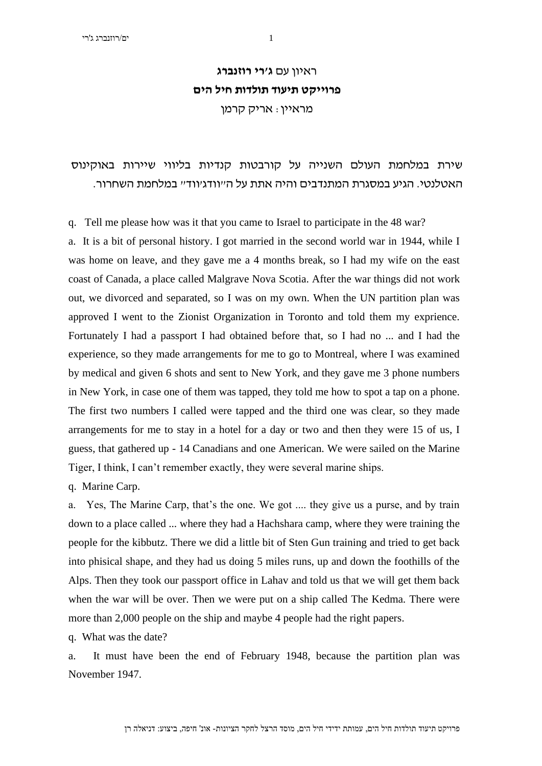## ראיון עם **ג'רי רוזנברג פרוייקט תיעוד תולדות חיל הים**  מראיין: אריק קרמן

## שירת במלחמת העולם השנייה על קורבטות קנדיות בליווי שיירות באוקינוס האטלנטי. הגיע במסגרת המתנדבים והיה אתת על ה"וודג'ווד" במלחמת השחרור.

q. Tell me please how was it that you came to Israel to participate in the 48 war?

a. It is a bit of personal history. I got married in the second world war in 1944, while I was home on leave, and they gave me a 4 months break, so I had my wife on the east coast of Canada, a place called Malgrave Nova Scotia. After the war things did not work out, we divorced and separated, so I was on my own. When the UN partition plan was approved I went to the Zionist Organization in Toronto and told them my exprience. Fortunately I had a passport I had obtained before that, so I had no ... and I had the experience, so they made arrangements for me to go to Montreal, where I was examined by medical and given 6 shots and sent to New York, and they gave me 3 phone numbers in New York, in case one of them was tapped, they told me how to spot a tap on a phone. The first two numbers I called were tapped and the third one was clear, so they made arrangements for me to stay in a hotel for a day or two and then they were 15 of us, I guess, that gathered up - 14 Canadians and one American. We were sailed on the Marine Tiger, I think, I can't remember exactly, they were several marine ships.

q. Marine Carp.

a. Yes, The Marine Carp, that's the one. We got .... they give us a purse, and by train down to a place called ... where they had a Hachshara camp, where they were training the people for the kibbutz. There we did a little bit of Sten Gun training and tried to get back into phisical shape, and they had us doing 5 miles runs, up and down the foothills of the Alps. Then they took our passport office in Lahav and told us that we will get them back when the war will be over. Then we were put on a ship called The Kedma. There were more than 2,000 people on the ship and maybe 4 people had the right papers.

q. What was the date?

a. It must have been the end of February 1948, because the partition plan was November 1947.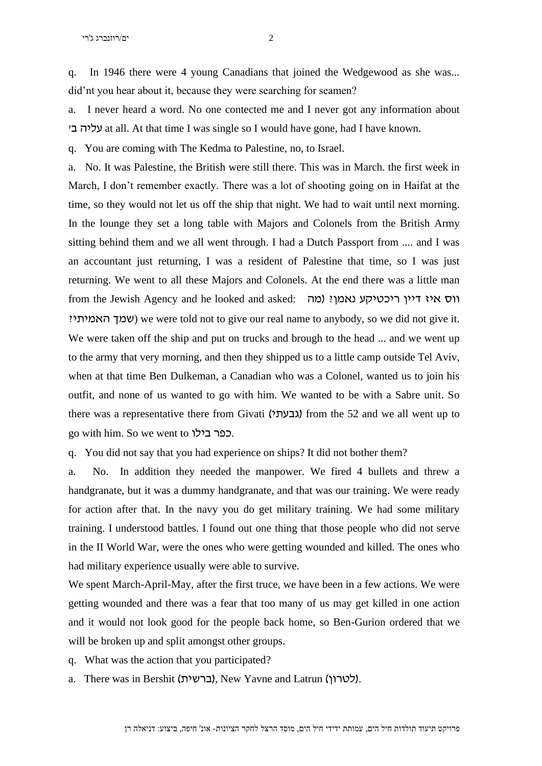q. In 1946 there were 4 young Canadians that joined the Wedgewood as she was... did'nt you hear about it, because they were searching for seamen?

a. I never heard a word. No one contected me and I never got any information about 'ב עליה at all. At that time I was single so I would have gone, had I have known.

q. You are coming with The Kedma to Palestine, no, to Israel.

a. No. It was Palestine, the British were still there. This was in March. the first week in March, I don't remember exactly. There was a lot of shooting going on in Haifat at the time, so they would not let us off the ship that night. We had to wait until next morning. In the lounge they set a long table with Majors and Colonels from the British Army sitting behind them and we all went through. I had a Dutch Passport from .... and I was an accountant just returning, I was a resident of Palestine that time, so I was just returning. We went to all these Majors and Colonels. At the end there was a little man from the Jewish Agency and he looked and asked: ווס איז דיין ריכטיקע נאמן? ) ?האמיתי שמך (we were told not to give our real name to anybody, so we did not give it. We were taken off the ship and put on trucks and brough to the head ... and we went up to the army that very morning, and then they shipped us to a little camp outside Tel Aviv, when at that time Ben Dulkeman, a Canadian who was a Colonel, wanted us to join his outfit, and none of us wanted to go with him. We wanted to be with a Sabre unit. So there was a representative there from Givati (גבעתי $\lambda$ ) from the 52 and we all went up to go with him. So we went to בילו כפר.

q. You did not say that you had experience on ships? It did not bother them?

a. No. In addition they needed the manpower. We fired 4 bullets and threw a handgranate, but it was a dummy handgranate, and that was our training. We were ready for action after that. In the navy you do get military training. We had some military training. I understood battles. I found out one thing that those people who did not serve in the II World War, were the ones who were getting wounded and killed. The ones who had military experience usually were able to survive.

We spent March-April-May, after the first truce, we have been in a few actions. We were getting wounded and there was a fear that too many of us may get killed in one action and it would not look good for the people back home, so Ben-Gurion ordered that we will be broken up and split amongst other groups.

- q. What was the action that you participated?
- a. There was in Bershit (ברשית), New Yavne and Latrun (לטרון).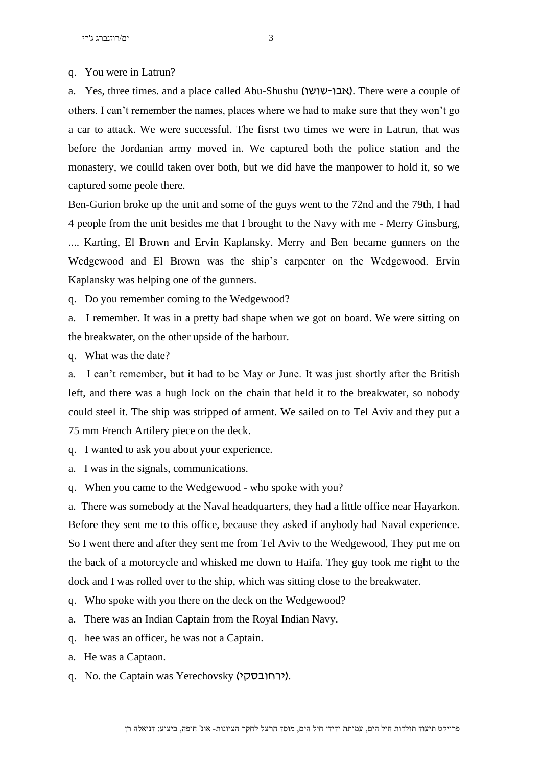q. You were in Latrun?

a. Yes, three times. and a place called Abu-Shushu (אבו-שושו). There were a couple of others. I can't remember the names, places where we had to make sure that they won't go a car to attack. We were successful. The fisrst two times we were in Latrun, that was before the Jordanian army moved in. We captured both the police station and the monastery, we coulld taken over both, but we did have the manpower to hold it, so we captured some peole there.

Ben-Gurion broke up the unit and some of the guys went to the 72nd and the 79th, I had 4 people from the unit besides me that I brought to the Navy with me - Merry Ginsburg, .... Karting, El Brown and Ervin Kaplansky. Merry and Ben became gunners on the Wedgewood and El Brown was the ship's carpenter on the Wedgewood. Ervin Kaplansky was helping one of the gunners.

q. Do you remember coming to the Wedgewood?

a. I remember. It was in a pretty bad shape when we got on board. We were sitting on the breakwater, on the other upside of the harbour.

q. What was the date?

a. I can't remember, but it had to be May or June. It was just shortly after the British left, and there was a hugh lock on the chain that held it to the breakwater, so nobody could steel it. The ship was stripped of arment. We sailed on to Tel Aviv and they put a 75 mm French Artilery piece on the deck.

q. I wanted to ask you about your experience.

a. I was in the signals, communications.

q. When you came to the Wedgewood - who spoke with you?

a. There was somebody at the Naval headquarters, they had a little office near Hayarkon. Before they sent me to this office, because they asked if anybody had Naval experience. So I went there and after they sent me from Tel Aviv to the Wedgewood, They put me on the back of a motorcycle and whisked me down to Haifa. They guy took me right to the dock and I was rolled over to the ship, which was sitting close to the breakwater.

q. Who spoke with you there on the deck on the Wedgewood?

a. There was an Indian Captain from the Royal Indian Navy.

q. hee was an officer, he was not a Captain.

a. He was a Captaon.

q. No. the Captain was Yerechovsky )ירחובסקי).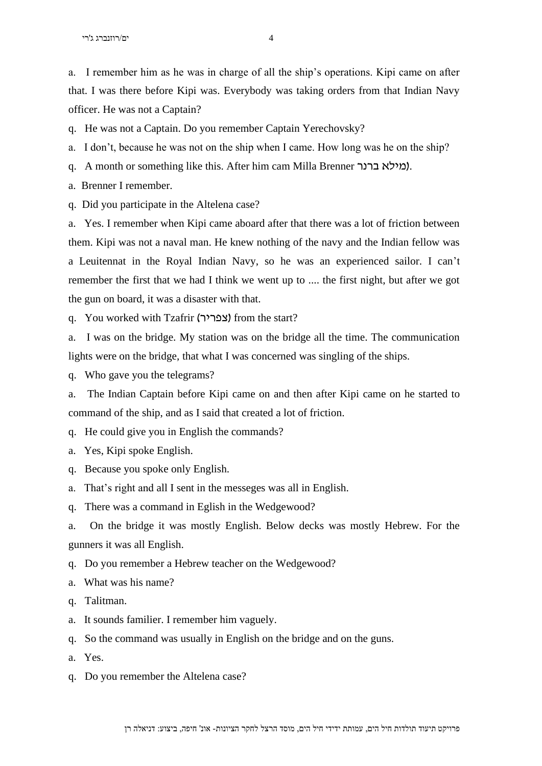a. I remember him as he was in charge of all the ship's operations. Kipi came on after that. I was there before Kipi was. Everybody was taking orders from that Indian Navy officer. He was not a Captain?

q. He was not a Captain. Do you remember Captain Yerechovsky?

a. I don't, because he was not on the ship when I came. How long was he on the ship?

q. A month or something like this. After him cam Milla Brenner ברנר מילא).

a. Brenner I remember.

q. Did you participate in the Altelena case?

a. Yes. I remember when Kipi came aboard after that there was a lot of friction between them. Kipi was not a naval man. He knew nothing of the navy and the Indian fellow was a Leuitennat in the Royal Indian Navy, so he was an experienced sailor. I can't remember the first that we had I think we went up to .... the first night, but after we got the gun on board, it was a disaster with that.

q. You worked with Tzafrir (צפריר) from the start?

a. I was on the bridge. My station was on the bridge all the time. The communication lights were on the bridge, that what I was concerned was singling of the ships.

q. Who gave you the telegrams?

a. The Indian Captain before Kipi came on and then after Kipi came on he started to command of the ship, and as I said that created a lot of friction.

q. He could give you in English the commands?

- a. Yes, Kipi spoke English.
- q. Because you spoke only English.
- a. That's right and all I sent in the messeges was all in English.

q. There was a command in Eglish in the Wedgewood?

a. On the bridge it was mostly English. Below decks was mostly Hebrew. For the gunners it was all English.

- q. Do you remember a Hebrew teacher on the Wedgewood?
- a. What was his name?
- q. Talitman.
- a. It sounds familier. I remember him vaguely.
- q. So the command was usually in English on the bridge and on the guns.
- a. Yes.
- q. Do you remember the Altelena case?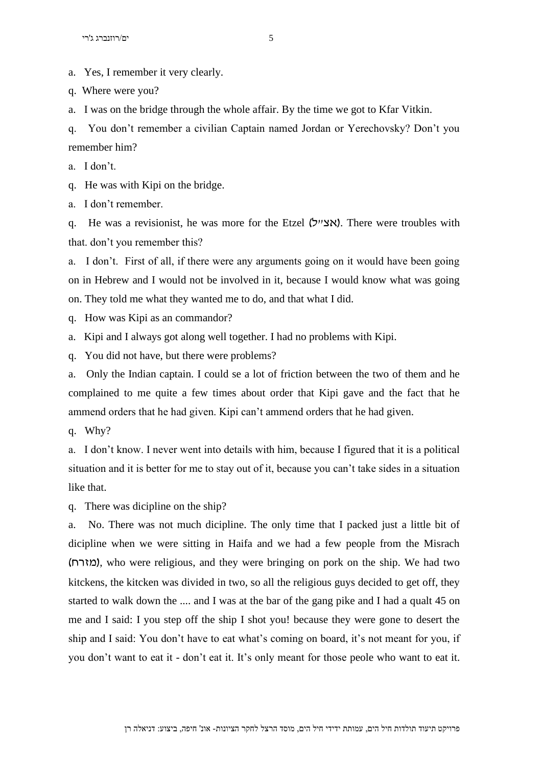a. Yes, I remember it very clearly.

q. Where were you?

a. I was on the bridge through the whole affair. By the time we got to Kfar Vitkin.

q. You don't remember a civilian Captain named Jordan or Yerechovsky? Don't you remember him?

a. I don't.

q. He was with Kipi on the bridge.

a. I don't remember.

q. He was a revisionist, he was more for the Etzel (אצייל). There were troubles with that. don't you remember this?

a. I don't. First of all, if there were any arguments going on it would have been going on in Hebrew and I would not be involved in it, because I would know what was going on. They told me what they wanted me to do, and that what I did.

q. How was Kipi as an commandor?

a. Kipi and I always got along well together. I had no problems with Kipi.

q. You did not have, but there were problems?

a. Only the Indian captain. I could se a lot of friction between the two of them and he complained to me quite a few times about order that Kipi gave and the fact that he ammend orders that he had given. Kipi can't ammend orders that he had given.

q. Why?

a. I don't know. I never went into details with him, because I figured that it is a political situation and it is better for me to stay out of it, because you can't take sides in a situation like that.

q. There was dicipline on the ship?

a. No. There was not much dicipline. The only time that I packed just a little bit of dicipline when we were sitting in Haifa and we had a few people from the Misrach )מזרח), who were religious, and they were bringing on pork on the ship. We had two kitckens, the kitcken was divided in two, so all the religious guys decided to get off, they started to walk down the .... and I was at the bar of the gang pike and I had a qualt 45 on me and I said: I you step off the ship I shot you! because they were gone to desert the ship and I said: You don't have to eat what's coming on board, it's not meant for you, if you don't want to eat it - don't eat it. It's only meant for those peole who want to eat it.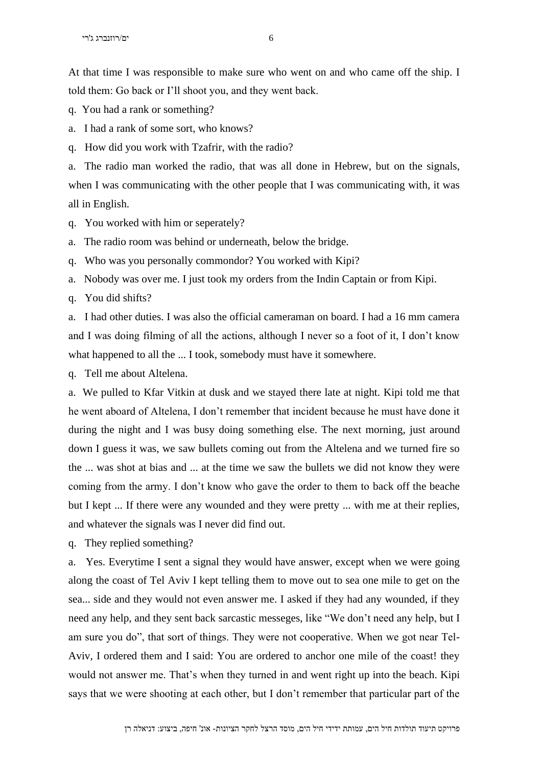At that time I was responsible to make sure who went on and who came off the ship. I told them: Go back or I'll shoot you, and they went back.

q. You had a rank or something?

a. I had a rank of some sort, who knows?

q. How did you work with Tzafrir, with the radio?

a. The radio man worked the radio, that was all done in Hebrew, but on the signals, when I was communicating with the other people that I was communicating with, it was all in English.

q. You worked with him or seperately?

a. The radio room was behind or underneath, below the bridge.

q. Who was you personally commondor? You worked with Kipi?

a. Nobody was over me. I just took my orders from the Indin Captain or from Kipi.

q. You did shifts?

a. I had other duties. I was also the official cameraman on board. I had a 16 mm camera and I was doing filming of all the actions, although I never so a foot of it, I don't know what happened to all the ... I took, somebody must have it somewhere.

q. Tell me about Altelena.

a. We pulled to Kfar Vitkin at dusk and we stayed there late at night. Kipi told me that he went aboard of Altelena, I don't remember that incident because he must have done it during the night and I was busy doing something else. The next morning, just around down I guess it was, we saw bullets coming out from the Altelena and we turned fire so the ... was shot at bias and ... at the time we saw the bullets we did not know they were coming from the army. I don't know who gave the order to them to back off the beache but I kept ... If there were any wounded and they were pretty ... with me at their replies, and whatever the signals was I never did find out.

q. They replied something?

a. Yes. Everytime I sent a signal they would have answer, except when we were going along the coast of Tel Aviv I kept telling them to move out to sea one mile to get on the sea... side and they would not even answer me. I asked if they had any wounded, if they need any help, and they sent back sarcastic messeges, like "We don't need any help, but I am sure you do", that sort of things. They were not cooperative. When we got near Tel-Aviv, I ordered them and I said: You are ordered to anchor one mile of the coast! they would not answer me. That's when they turned in and went right up into the beach. Kipi says that we were shooting at each other, but I don't remember that particular part of the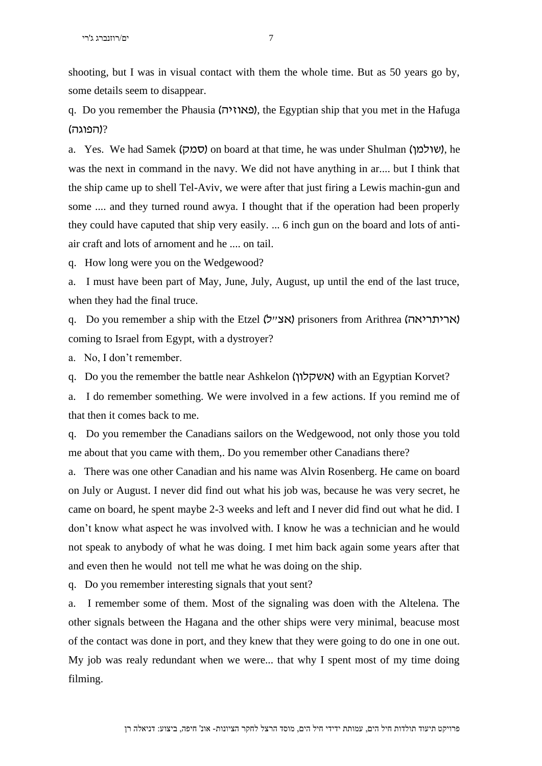shooting, but I was in visual contact with them the whole time. But as 50 years go by, some details seem to disappear.

q. Do you remember the Phausia )פאוזיה), the Egyptian ship that you met in the Hafuga ?)הפוגה(

a. Yes. We had Samek (סמק) on board at that time, he was under Shulman (שולמן), he was the next in command in the navy. We did not have anything in ar.... but I think that the ship came up to shell Tel-Aviv, we were after that just firing a Lewis machin-gun and some .... and they turned round awya. I thought that if the operation had been properly they could have caputed that ship very easily. ... 6 inch gun on the board and lots of antiair craft and lots of arnoment and he .... on tail.

q. How long were you on the Wedgewood?

a. I must have been part of May, June, July, August, up until the end of the last truce, when they had the final truce.

q. Do you remember a ship with the Etzel (אריתריאה) prisoners from Arithrea (אריתריאה) coming to Israel from Egypt, with a dystroyer?

a. No, I don't remember.

q. Do you the remember the battle near Ashkelon (אשקלון) with an Egyptian Korvet?

a. I do remember something. We were involved in a few actions. If you remind me of that then it comes back to me.

q. Do you remember the Canadians sailors on the Wedgewood, not only those you told me about that you came with them,. Do you remember other Canadians there?

a. There was one other Canadian and his name was Alvin Rosenberg. He came on board on July or August. I never did find out what his job was, because he was very secret, he came on board, he spent maybe 2-3 weeks and left and I never did find out what he did. I don't know what aspect he was involved with. I know he was a technician and he would not speak to anybody of what he was doing. I met him back again some years after that and even then he would not tell me what he was doing on the ship.

q. Do you remember interesting signals that yout sent?

a. I remember some of them. Most of the signaling was doen with the Altelena. The other signals between the Hagana and the other ships were very minimal, beacuse most of the contact was done in port, and they knew that they were going to do one in one out. My job was realy redundant when we were... that why I spent most of my time doing filming.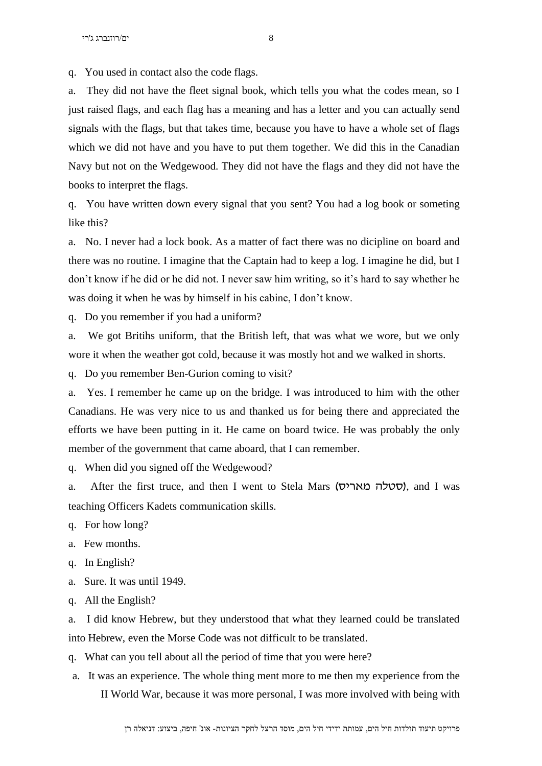q. You used in contact also the code flags.

a. They did not have the fleet signal book, which tells you what the codes mean, so I just raised flags, and each flag has a meaning and has a letter and you can actually send signals with the flags, but that takes time, because you have to have a whole set of flags which we did not have and you have to put them together. We did this in the Canadian Navy but not on the Wedgewood. They did not have the flags and they did not have the books to interpret the flags.

q. You have written down every signal that you sent? You had a log book or someting like this?

a. No. I never had a lock book. As a matter of fact there was no dicipline on board and there was no routine. I imagine that the Captain had to keep a log. I imagine he did, but I don't know if he did or he did not. I never saw him writing, so it's hard to say whether he was doing it when he was by himself in his cabine, I don't know.

q. Do you remember if you had a uniform?

a. We got Britihs uniform, that the British left, that was what we wore, but we only wore it when the weather got cold, because it was mostly hot and we walked in shorts.

q. Do you remember Ben-Gurion coming to visit?

a. Yes. I remember he came up on the bridge. I was introduced to him with the other Canadians. He was very nice to us and thanked us for being there and appreciated the efforts we have been putting in it. He came on board twice. He was probably the only member of the government that came aboard, that I can remember.

q. When did you signed off the Wedgewood?

a. After the first truce, and then I went to Stela Mars (סטלה מאריס), and I was teaching Officers Kadets communication skills.

q. For how long?

- a. Few months.
- q. In English?
- a. Sure. It was until 1949.
- q. All the English?

a. I did know Hebrew, but they understood that what they learned could be translated into Hebrew, even the Morse Code was not difficult to be translated.

q. What can you tell about all the period of time that you were here?

a. It was an experience. The whole thing ment more to me then my experience from the II World War, because it was more personal, I was more involved with being with